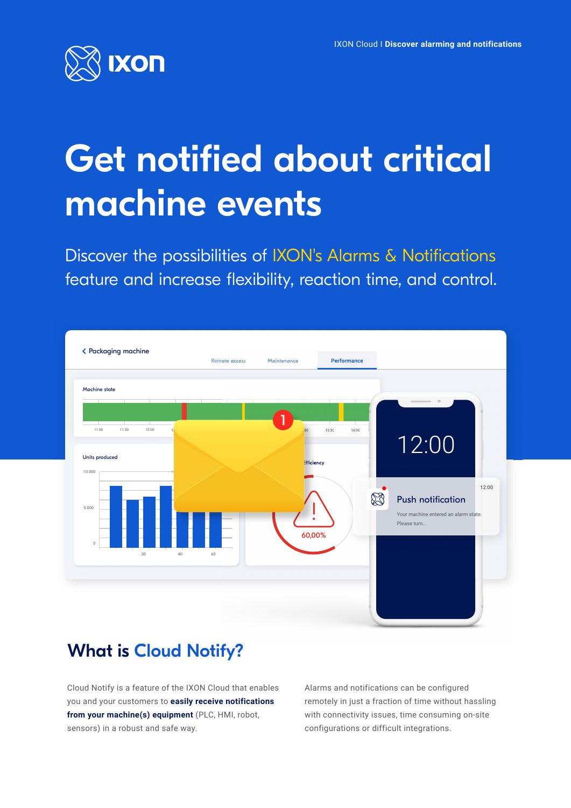

# Get notified about critical machine events

Discover the possibilities of IXON's Alarms & Notifications feature and increase flexibility, reaction time, and control.



# What is Cloud Notify?

Cloud Notify is a feature of the IXON Cloud that enables you and your customers to **easily receive notifications from your machine(s) equipment** (PLC, HMI, robot, sensors) in a robust and safe way.

Alarms and notifications can be configured remotely in just a fraction of time without hassling with connectivity issues, time consuming on-site configurations or difficult integrations.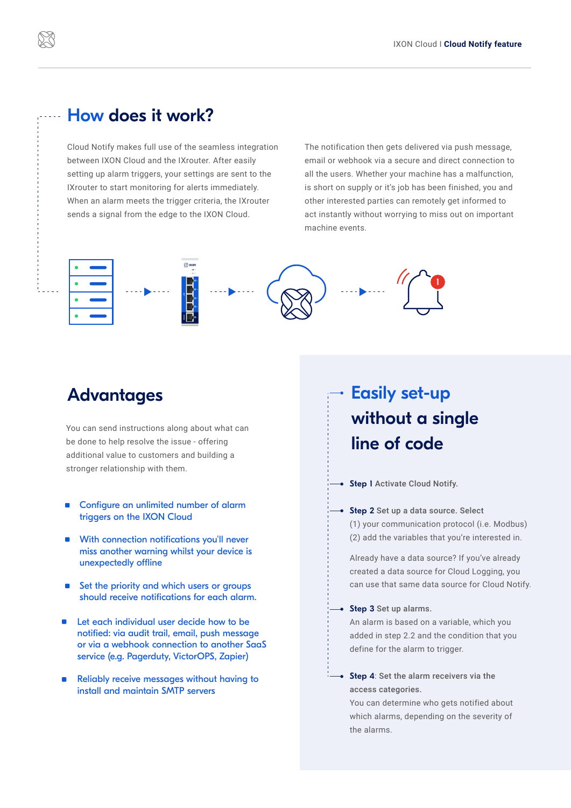## How does it work?

Cloud Notify makes full use of the seamless integration between IXON Cloud and the IXrouter. After easily setting up alarm triggers, your settings are sent to the IXrouter to start monitoring for alerts immediately. When an alarm meets the trigger criteria, the IXrouter sends a signal from the edge to the IXON Cloud.

The notification then gets delivered via push message, email or webhook via a secure and direct connection to all the users. Whether your machine has a malfunction, is short on supply or it's job has been finished, you and other interested parties can remotely get informed to act instantly without worrying to miss out on important machine events.



# Advantages

You can send instructions along about what can be done to help resolve the issue - offering additional value to customers and building a stronger relationship with them.

- **Configure an unlimited number of alarm** triggers on the IXON Cloud
- **With connection notifications you'll never** miss another warning whilst your device is unexpectedly offline
- Set the priority and which users or groups should receive notifications for each alarm.
- Let each individual user decide how to be notified: via audit trail, email, push message or via a webhook connection to another SaaS service (e.g. Pagerduty, VictorOPS, Zapier)
- Reliably receive messages without having to install and maintain SMTP servers

# Easily set-up without a single line of code

Step I Activate Cloud Notify.

→ Step 2 Set up a data source. Select (1) your communication protocol (i.e. Modbus) (2) add the variables that you're interested in.

Already have a data source? If you've already created a data source for Cloud Logging, you can use that same data source for Cloud Notify.

 $\rightarrow$  Step 3 Set up alarms.

An alarm is based on a variable, which you added in step 2.2 and the condition that you define for the alarm to trigger.

 $\rightarrow$  Step 4: Set the alarm receivers via the access categories.

You can determine who gets notified about which alarms, depending on the severity of the alarms.